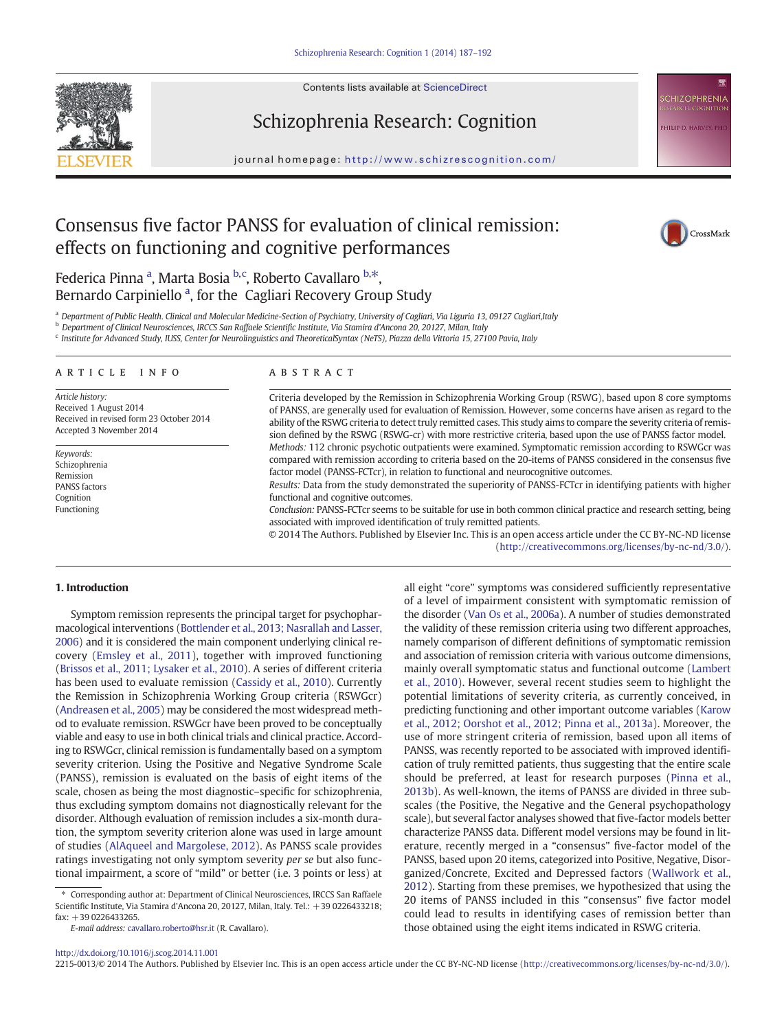Contents lists available at ScienceDirect



Schizophrenia Research: Cognition

journal homepage: http://www.schizrescognition.com/

# Consensus five factor PANSS for evaluation of clinical remission: effects on functioning and cognitive performances



**HIZOPHRENIA** 

**HILIP D. HARVEY, PH** 

Federica Pinna <sup>a</sup>, Marta Bosia <sup>b,c</sup>, Roberto Cavallaro <sup>b,\*</sup>, Bernardo Carpiniello<sup>a</sup>, for the Cagliari Recovery Group Study

a Department of Public Health. Clinical and Molecular Medicine-Section of Psychiatry, University of Cagliari, Via Liguria 13, 09127 Cagliari, Italy

<sup>b</sup> Department of Clinical Neurosciences, IRCCS San Raffaele Scientific Institute, Via Stamira d'Ancona 20, 20127, Milan, Italy

<sup>c</sup> Institute for Advanced Study, IUSS, Center for Neurolinguistics and TheoreticalSyntax (NeTS), Piazza della Vittoria 15, 27100 Pavia, Italy

#### ARTICLE INFO ABSTRACT

Article history: Received 1 August 2014 Received in revised form 23 October 2014 Accepted 3 November 2014

Keywords: Schizophrenia Remission PANSS factors Cognition Functioning

Criteria developed by the Remission in Schizophrenia Working Group (RSWG), based upon 8 core symptoms of PANSS, are generally used for evaluation of Remission. However, some concerns have arisen as regard to the ability of the RSWG criteria to detect truly remitted cases. This study aims to compare the severity criteria of remission defined by the RSWG (RSWG-cr) with more restrictive criteria, based upon the use of PANSS factor model. Methods: 112 chronic psychotic outpatients were examined. Symptomatic remission according to RSWGcr was compared with remission according to criteria based on the 20-items of PANSS considered in the consensus five factor model (PANSS-FCTcr), in relation to functional and neurocognitive outcomes.

Results: Data from the study demonstrated the superiority of PANSS-FCTcr in identifying patients with higher functional and cognitive outcomes.

Conclusion: PANSS-FCTcr seems to be suitable for use in both common clinical practice and research setting, being associated with improved identification of truly remitted patients.

© 2014 The Authors. Published by Elsevier Inc. This is an open access article under the CC BY-NC-ND license (http://creativecommons.org/licenses/by-nc-nd/3.0/).

#### 1. Introduction

Symptom remission represents the principal target for psychopharmacological interventions ([Bottlender et al., 2013; Nasrallah and Lasser,](#page-4-0) [2006](#page-4-0)) and it is considered the main component underlying clinical recovery [\(Emsley et al., 2011](#page-4-0)), together with improved functioning [\(Brissos et al., 2011; Lysaker et al., 2010](#page-4-0)). A series of different criteria has been used to evaluate remission [\(Cassidy et al., 2010](#page-4-0)). Currently the Remission in Schizophrenia Working Group criteria (RSWGcr) [\(Andreasen et al., 2005](#page-4-0)) may be considered the most widespread method to evaluate remission. RSWGcr have been proved to be conceptually viable and easy to use in both clinical trials and clinical practice. According to RSWGcr, clinical remission is fundamentally based on a symptom severity criterion. Using the Positive and Negative Syndrome Scale (PANSS), remission is evaluated on the basis of eight items of the scale, chosen as being the most diagnostic–specific for schizophrenia, thus excluding symptom domains not diagnostically relevant for the disorder. Although evaluation of remission includes a six-month duration, the symptom severity criterion alone was used in large amount of studies [\(AlAqueel and Margolese, 2012](#page-4-0)). As PANSS scale provides ratings investigating not only symptom severity per se but also functional impairment, a score of "mild" or better (i.e. 3 points or less) at

E-mail address: [cavallaro.roberto@hsr.it](mailto:cavallaro.roberto@hsr.it) (R. Cavallaro).

all eight "core" symptoms was considered sufficiently representative of a level of impairment consistent with symptomatic remission of the disorder ([Van Os et al., 2006a\)](#page-5-0). A number of studies demonstrated the validity of these remission criteria using two different approaches, namely comparison of different definitions of symptomatic remission and association of remission criteria with various outcome dimensions, mainly overall symptomatic status and functional outcome [\(Lambert](#page-4-0) [et al., 2010\)](#page-4-0). However, several recent studies seem to highlight the potential limitations of severity criteria, as currently conceived, in predicting functioning and other important outcome variables [\(Karow](#page-4-0) [et al., 2012; Oorshot et al., 2012; Pinna et al., 2013a\)](#page-4-0). Moreover, the use of more stringent criteria of remission, based upon all items of PANSS, was recently reported to be associated with improved identification of truly remitted patients, thus suggesting that the entire scale should be preferred, at least for research purposes ([Pinna et al.,](#page-5-0) [2013b](#page-5-0)). As well-known, the items of PANSS are divided in three subscales (the Positive, the Negative and the General psychopathology scale), but several factor analyses showed that five-factor models better characterize PANSS data. Different model versions may be found in literature, recently merged in a "consensus" five-factor model of the PANSS, based upon 20 items, categorized into Positive, Negative, Disorganized/Concrete, Excited and Depressed factors [\(Wallwork et al.,](#page-5-0) [2012\)](#page-5-0). Starting from these premises, we hypothesized that using the 20 items of PANSS included in this "consensus" five factor model could lead to results in identifying cases of remission better than those obtained using the eight items indicated in RSWG criteria.

<http://dx.doi.org/10.1016/j.scog.2014.11.001>

2215-0013/© 2014 The Authors. Published by Elsevier Inc. This is an open access article under the CC BY-NC-ND license (http://creativecommons.org/licenses/by-nc-nd/3.0/).

<sup>⁎</sup> Corresponding author at: Department of Clinical Neurosciences, IRCCS San Raffaele Scientific Institute, Via Stamira d'Ancona 20, 20127, Milan, Italy. Tel.: +39 0226433218; fax: +39 0226433265.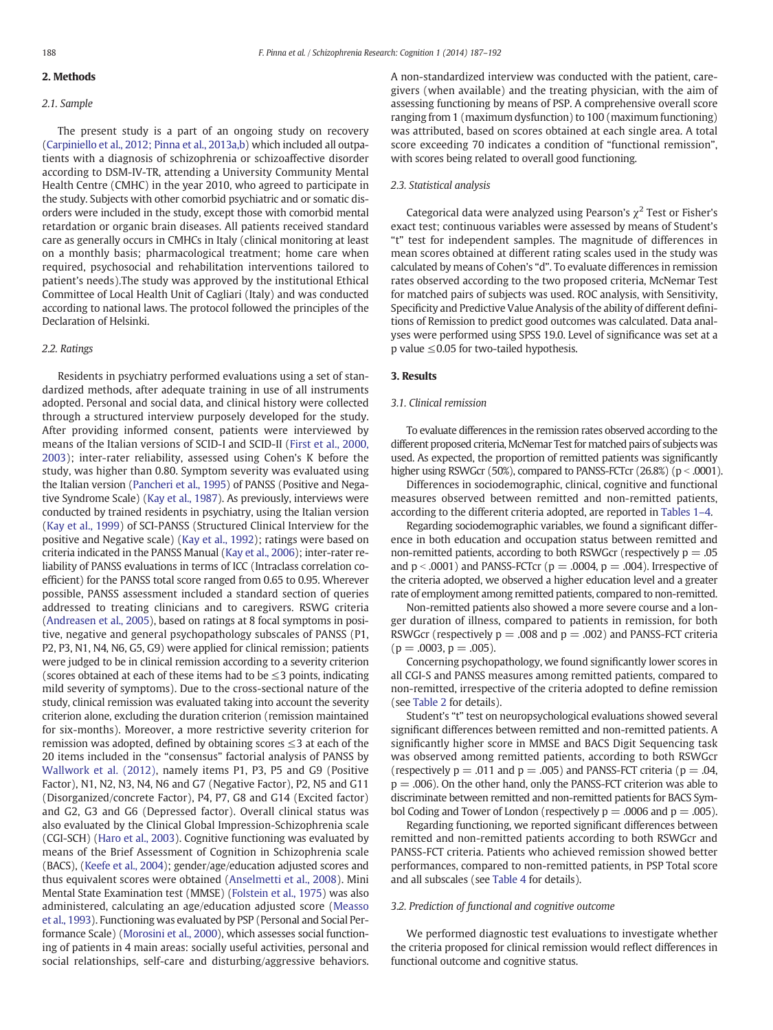#### 2. Methods

### 2.1. Sample

The present study is a part of an ongoing study on recovery ([Carpiniello et al., 2012; Pinna et al., 2013a,b](#page-4-0)) which included all outpatients with a diagnosis of schizophrenia or schizoaffective disorder according to DSM-IV-TR, attending a University Community Mental Health Centre (CMHC) in the year 2010, who agreed to participate in the study. Subjects with other comorbid psychiatric and or somatic disorders were included in the study, except those with comorbid mental retardation or organic brain diseases. All patients received standard care as generally occurs in CMHCs in Italy (clinical monitoring at least on a monthly basis; pharmacological treatment; home care when required, psychosocial and rehabilitation interventions tailored to patient's needs).The study was approved by the institutional Ethical Committee of Local Health Unit of Cagliari (Italy) and was conducted according to national laws. The protocol followed the principles of the Declaration of Helsinki.

#### 2.2. Ratings

Residents in psychiatry performed evaluations using a set of standardized methods, after adequate training in use of all instruments adopted. Personal and social data, and clinical history were collected through a structured interview purposely developed for the study. After providing informed consent, patients were interviewed by means of the Italian versions of SCID-I and SCID-II ([First et al., 2000,](#page-4-0) [2003\)](#page-4-0); inter-rater reliability, assessed using Cohen's K before the study, was higher than 0.80. Symptom severity was evaluated using the Italian version [\(Pancheri et al., 1995\)](#page-5-0) of PANSS (Positive and Negative Syndrome Scale) [\(Kay et al., 1987](#page-4-0)). As previously, interviews were conducted by trained residents in psychiatry, using the Italian version ([Kay et al., 1999\)](#page-4-0) of SCI-PANSS (Structured Clinical Interview for the positive and Negative scale) ([Kay et al., 1992](#page-4-0)); ratings were based on criteria indicated in the PANSS Manual [\(Kay et al., 2006](#page-4-0)); inter-rater reliability of PANSS evaluations in terms of ICC (Intraclass correlation coefficient) for the PANSS total score ranged from 0.65 to 0.95. Wherever possible, PANSS assessment included a standard section of queries addressed to treating clinicians and to caregivers. RSWG criteria ([Andreasen et al., 2005\)](#page-4-0), based on ratings at 8 focal symptoms in positive, negative and general psychopathology subscales of PANSS (P1, P2, P3, N1, N4, N6, G5, G9) were applied for clinical remission; patients were judged to be in clinical remission according to a severity criterion (scores obtained at each of these items had to be  $\leq$ 3 points, indicating mild severity of symptoms). Due to the cross-sectional nature of the study, clinical remission was evaluated taking into account the severity criterion alone, excluding the duration criterion (remission maintained for six-months). Moreover, a more restrictive severity criterion for remission was adopted, defined by obtaining scores  $\leq$ 3 at each of the 20 items included in the "consensus" factorial analysis of PANSS by [Wallwork et al. \(2012\),](#page-5-0) namely items P1, P3, P5 and G9 (Positive Factor), N1, N2, N3, N4, N6 and G7 (Negative Factor), P2, N5 and G11 (Disorganized/concrete Factor), P4, P7, G8 and G14 (Excited factor) and G2, G3 and G6 (Depressed factor). Overall clinical status was also evaluated by the Clinical Global Impression-Schizophrenia scale (CGI-SCH) [\(Haro et al., 2003](#page-4-0)). Cognitive functioning was evaluated by means of the Brief Assessment of Cognition in Schizophrenia scale (BACS), [\(Keefe et al., 2004\)](#page-4-0); gender/age/education adjusted scores and thus equivalent scores were obtained [\(Anselmetti et al., 2008\)](#page-4-0). Mini Mental State Examination test (MMSE) [\(Folstein et al., 1975](#page-4-0)) was also administered, calculating an age/education adjusted score [\(Measso](#page-5-0) [et al., 1993\)](#page-5-0). Functioning was evaluated by PSP (Personal and Social Performance Scale) ([Morosini et al., 2000\)](#page-5-0), which assesses social functioning of patients in 4 main areas: socially useful activities, personal and social relationships, self-care and disturbing/aggressive behaviors.

A non-standardized interview was conducted with the patient, caregivers (when available) and the treating physician, with the aim of assessing functioning by means of PSP. A comprehensive overall score ranging from 1 (maximum dysfunction) to 100 (maximum functioning) was attributed, based on scores obtained at each single area. A total score exceeding 70 indicates a condition of "functional remission", with scores being related to overall good functioning.

#### 2.3. Statistical analysis

Categorical data were analyzed using Pearson's  $\chi^2$  Test or Fisher's exact test; continuous variables were assessed by means of Student's "t" test for independent samples. The magnitude of differences in mean scores obtained at different rating scales used in the study was calculated by means of Cohen's "d". To evaluate differences in remission rates observed according to the two proposed criteria, McNemar Test for matched pairs of subjects was used. ROC analysis, with Sensitivity, Specificity and Predictive Value Analysis of the ability of different definitions of Remission to predict good outcomes was calculated. Data analyses were performed using SPSS 19.0. Level of significance was set at a p value ≤0.05 for two-tailed hypothesis.

## 3. Results

#### 3.1. Clinical remission

To evaluate differences in the remission rates observed according to the different proposed criteria, McNemar Test for matched pairs of subjects was used. As expected, the proportion of remitted patients was significantly higher using RSWGcr (50%), compared to PANSS-FCTcr (26.8%) ( $p < .0001$ ).

Differences in sociodemographic, clinical, cognitive and functional measures observed between remitted and non-remitted patients, according to the different criteria adopted, are reported in [Tables 1](#page-2-0)–4.

Regarding sociodemographic variables, we found a significant difference in both education and occupation status between remitted and non-remitted patients, according to both RSWGcr (respectively  $p = 0.05$ ) and  $p < .0001$ ) and PANSS-FCTcr ( $p = .0004$ ,  $p = .004$ ). Irrespective of the criteria adopted, we observed a higher education level and a greater rate of employment among remitted patients, compared to non-remitted.

Non-remitted patients also showed a more severe course and a longer duration of illness, compared to patients in remission, for both RSWGcr (respectively  $p = .008$  and  $p = .002$ ) and PANSS-FCT criteria  $(p = .0003, p = .005)$ .

Concerning psychopathology, we found significantly lower scores in all CGI-S and PANSS measures among remitted patients, compared to non-remitted, irrespective of the criteria adopted to define remission (see [Table 2](#page-2-0) for details).

Student's "t" test on neuropsychological evaluations showed several significant differences between remitted and non-remitted patients. A significantly higher score in MMSE and BACS Digit Sequencing task was observed among remitted patients, according to both RSWGcr (respectively  $p = .011$  and  $p = .005$ ) and PANSS-FCT criteria ( $p = .04$ ,  $p = .006$ ). On the other hand, only the PANSS-FCT criterion was able to discriminate between remitted and non-remitted patients for BACS Symbol Coding and Tower of London (respectively  $p = .0006$  and  $p = .005$ ).

Regarding functioning, we reported significant differences between remitted and non-remitted patients according to both RSWGcr and PANSS-FCT criteria. Patients who achieved remission showed better performances, compared to non-remitted patients, in PSP Total score and all subscales (see [Table 4](#page-3-0) for details).

# 3.2. Prediction of functional and cognitive outcome

We performed diagnostic test evaluations to investigate whether the criteria proposed for clinical remission would reflect differences in functional outcome and cognitive status.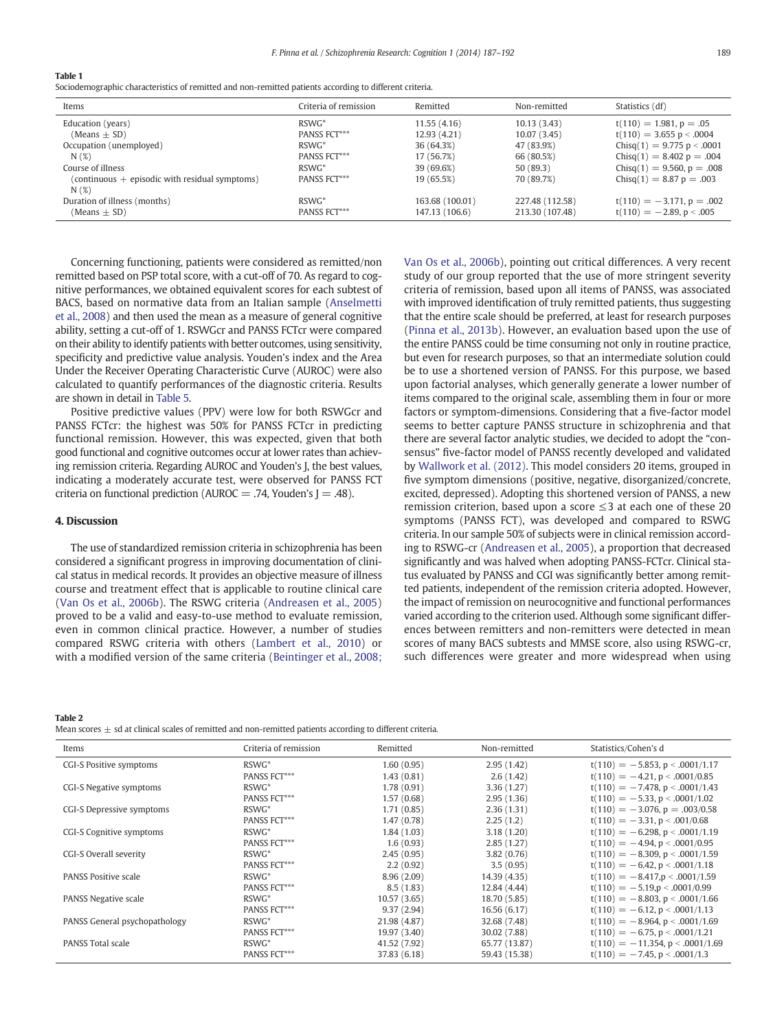#### <span id="page-2-0"></span>Table 1

Sociodemographic characteristics of remitted and non-remitted patients according to different criteria.

| Items                                                    | Criteria of remission | Remitted        | Non-remitted    | Statistics (df)              |
|----------------------------------------------------------|-----------------------|-----------------|-----------------|------------------------------|
| Education (years)                                        | $RSWG^*$              | 11.55(4.16)     | 10.13(3.43)     | $t(110) = 1.981, p = .05$    |
| $(Means \pm SD)$                                         | PANSS FCT***          | 12.93 (4.21)    | 10.07(3.45)     | $t(110) = 3.655 p < .0004$   |
| Occupation (unemployed)                                  | $RSWG^*$              | 36 (64.3%)      | 47 (83.9%)      | $Chisq(1) = 9.775 p < .0001$ |
| N(%)                                                     | <b>PANSS FCT***</b>   | 17 (56.7%)      | 66 (80.5%)      | $Chisq(1) = 8.402 p = .004$  |
| Course of illness                                        | $RSWG^*$              | 39 (69.6%)      | 50 (89.3)       | $Chisq(1) = 9.560, p = .008$ |
| $(continuous + episodic with residual symptoms)$<br>N(%) | <b>PANSS FCT***</b>   | 19 (65.5%)      | 70 (89.7%)      | $Chisq(1) = 8.87 p = .003$   |
| Duration of illness (months)                             | $RSWG^*$              | 163.68 (100.01) | 227.48 (112.58) | $t(110) = -3.171$ , p = .002 |
| (Means $\pm$ SD)                                         | <b>PANSS FCT***</b>   | 147.13 (106.6)  | 213.30 (107.48) | $t(110) = -2.89, p < .005$   |

Concerning functioning, patients were considered as remitted/non remitted based on PSP total score, with a cut-off of 70. As regard to cognitive performances, we obtained equivalent scores for each subtest of BACS, based on normative data from an Italian sample ([Anselmetti](#page-4-0) [et al., 2008](#page-4-0)) and then used the mean as a measure of general cognitive ability, setting a cut-off of 1. RSWGcr and PANSS FCTcr were compared on their ability to identify patients with better outcomes, using sensitivity, specificity and predictive value analysis. Youden's index and the Area Under the Receiver Operating Characteristic Curve (AUROC) were also calculated to quantify performances of the diagnostic criteria. Results are shown in detail in [Table 5](#page-4-0).

Positive predictive values (PPV) were low for both RSWGcr and PANSS FCTcr: the highest was 50% for PANSS FCTcr in predicting functional remission. However, this was expected, given that both good functional and cognitive outcomes occur at lower rates than achieving remission criteria. Regarding AUROC and Youden's J, the best values, indicating a moderately accurate test, were observed for PANSS FCT criteria on functional prediction (AUROC = .74, Youden's  $J = .48$ ).

#### 4. Discussion

The use of standardized remission criteria in schizophrenia has been considered a significant progress in improving documentation of clinical status in medical records. It provides an objective measure of illness course and treatment effect that is applicable to routine clinical care [\(Van Os et al., 2006b](#page-5-0)). The RSWG criteria [\(Andreasen et al., 2005](#page-4-0)) proved to be a valid and easy-to-use method to evaluate remission, even in common clinical practice. However, a number of studies compared RSWG criteria with others ([Lambert et al., 2010](#page-4-0)) or with a modified version of the same criteria [\(Beintinger et al., 2008;](#page-4-0) [Van Os et al., 2006b\)](#page-4-0), pointing out critical differences. A very recent study of our group reported that the use of more stringent severity criteria of remission, based upon all items of PANSS, was associated with improved identification of truly remitted patients, thus suggesting that the entire scale should be preferred, at least for research purposes [\(Pinna et al., 2013b](#page-5-0)). However, an evaluation based upon the use of the entire PANSS could be time consuming not only in routine practice, but even for research purposes, so that an intermediate solution could be to use a shortened version of PANSS. For this purpose, we based upon factorial analyses, which generally generate a lower number of items compared to the original scale, assembling them in four or more factors or symptom-dimensions. Considering that a five-factor model seems to better capture PANSS structure in schizophrenia and that there are several factor analytic studies, we decided to adopt the "consensus" five-factor model of PANSS recently developed and validated by [Wallwork et al. \(2012\)](#page-5-0). This model considers 20 items, grouped in five symptom dimensions (positive, negative, disorganized/concrete, excited, depressed). Adopting this shortened version of PANSS, a new remission criterion, based upon a score  $\leq$ 3 at each one of these 20 symptoms (PANSS FCT), was developed and compared to RSWG criteria. In our sample 50% of subjects were in clinical remission according to RSWG-cr ([Andreasen et al., 2005](#page-4-0)), a proportion that decreased significantly and was halved when adopting PANSS-FCTcr. Clinical status evaluated by PANSS and CGI was significantly better among remitted patients, independent of the remission criteria adopted. However, the impact of remission on neurocognitive and functional performances varied according to the criterion used. Although some significant differences between remitters and non-remitters were detected in mean scores of many BACS subtests and MMSE score, also using RSWG-cr, such differences were greater and more widespread when using

Table 2

Mean scores  $\pm$  sd at clinical scales of remitted and non-remitted patients according to different criteria.

| Items                         | Criteria of remission | Remitted     | Non-remitted  | Statistics/Cohen's d                 |
|-------------------------------|-----------------------|--------------|---------------|--------------------------------------|
| CGI-S Positive symptoms       | $RSWG^*$              | 1.60(0.95)   | 2.95(1.42)    | $t(110) = -5.853$ , p < .0001/1.17   |
|                               | PANSS FCT***          | 1.43(0.81)   | 2.6(1.42)     | $t(110) = -4.21$ , p < .0001/0.85    |
| CGI-S Negative symptoms       | $RSWG^*$              | 1.78(0.91)   | 3.36(1.27)    | $t(110) = -7.478$ , p < .0001/1.43   |
|                               | <b>PANSS FCT***</b>   | 1.57(0.68)   | 2.95(1.36)    | $t(110) = -5.33$ , p < .0001/1.02    |
| CGI-S Depressive symptoms     | RSWG <sup>*</sup>     | 1.71(0.85)   | 2.36(1.31)    | $t(110) = -3.076$ , $p = .003/0.58$  |
|                               | <b>PANSS FCT***</b>   | 1.47(0.78)   | 2.25(1.2)     | $t(110) = -3.31$ , $p < .001/0.68$   |
| CGI-S Cognitive symptoms      | $RSWG^*$              | 1.84(1.03)   | 3.18(1.20)    | $t(110) = -6.298$ , p < .0001/1.19   |
|                               | PANSS FCT***          | 1.6(0.93)    | 2.85(1.27)    | $t(110) = -4.94$ , p < .0001/0.95    |
| CGI-S Overall severity        | $RSWG^*$              | 2.45(0.95)   | 3.82(0.76)    | $t(110) = -8.309$ , $p < .0001/1.59$ |
|                               | PANSS FCT***          | 2.2(0.92)    | 3.5(0.95)     | $t(110) = -6.42$ , p < .0001/1.18    |
| <b>PANSS Positive scale</b>   | $RSWG^*$              | 8.96(2.09)   | 14.39 (4.35)  | $t(110) = -8.417$ , $p < .0001/1.59$ |
|                               | PANSS FCT***          | 8.5(1.83)    | 12.84 (4.44)  | $t(110) = -5.19$ , $p < .0001/0.99$  |
| PANSS Negative scale          | RSWG <sup>*</sup>     | 10.57(3.65)  | 18.70 (5.85)  | $t(110) = -8.803$ , p < .0001/1.66   |
|                               | PANSS FCT***          | 9.37(2.94)   | 16.56 (6.17)  | $t(110) = -6.12$ , p < .0001/1.13    |
| PANSS General psychopathology | $RSWG^*$              | 21.98 (4.87) | 32.68 (7.48)  | $t(110) = -8.964$ , p < .0001/1.69   |
|                               | PANSS FCT***          | 19.97 (3.40) | 30.02 (7.88)  | $t(110) = -6.75$ , p < .0001/1.21    |
| PANSS Total scale             | $RSWG^*$              | 41.52 (7.92) | 65.77 (13.87) | $t(110) = -11.354$ , p < .0001/1.69  |
|                               | PANSS FCT***          | 37.83 (6.18) | 59.43 (15.38) | $t(110) = -7.45$ , p < .0001/1.3     |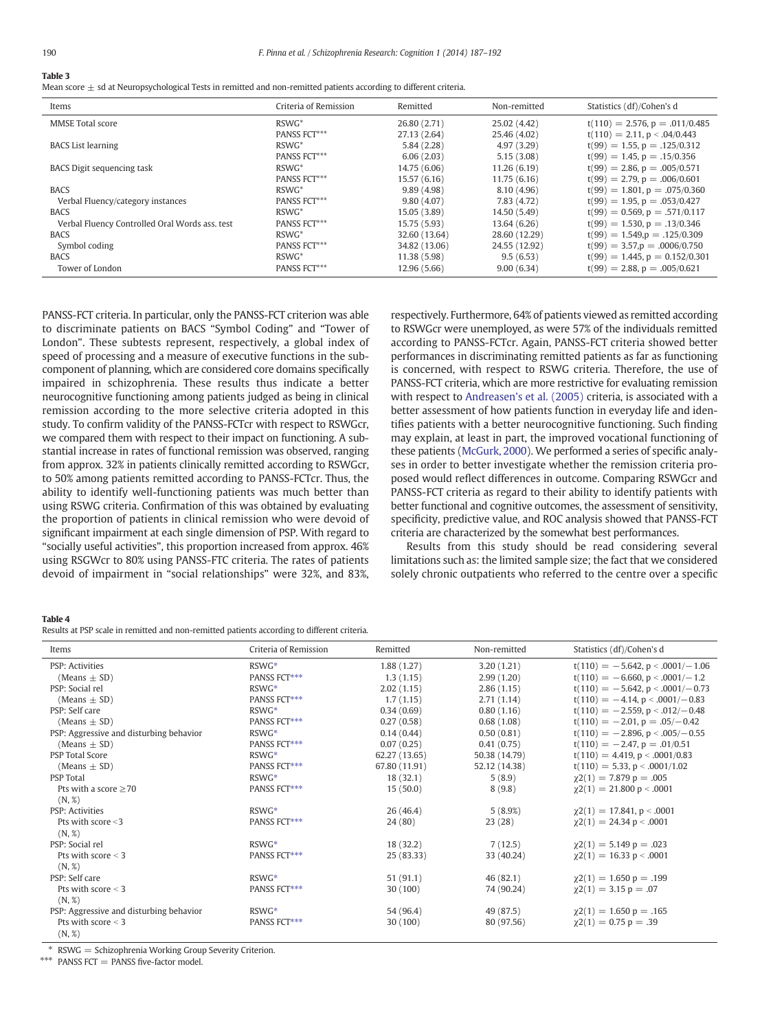# <span id="page-3-0"></span>Table 3

Mean score  $\pm$  sd at Neuropsychological Tests in remitted and non-remitted patients according to different criteria.

| Items                                          | Criteria of Remission | Remitted      | Non-remitted  | Statistics (df)/Cohen's d           |
|------------------------------------------------|-----------------------|---------------|---------------|-------------------------------------|
| <b>MMSE Total score</b>                        | $RSWG^*$              | 26.80 (2.71)  | 25.02 (4.42)  | $t(110) = 2.576$ , p = .011/0.485   |
|                                                | PANSS FCT***          | 27.13 (2.64)  | 25.46 (4.02)  | $t(110) = 2.11$ , $p < .04/0.443$   |
| <b>BACS</b> List learning                      | $RSWG^*$              | 5.84(2.28)    | 4.97(3.29)    | $t(99) = 1.55$ , $p = .125/0.312$   |
|                                                | <b>PANSS FCT***</b>   | 6.06(2.03)    | 5.15(3.08)    | $t(99) = 1.45, p = .15/0.356$       |
| BACS Digit sequencing task                     | $RSWG^*$              | 14.75 (6.06)  | 11.26(6.19)   | $t(99) = 2.86$ , $p = .005/0.571$   |
|                                                | <b>PANSS FCT***</b>   | 15.57 (6.16)  | 11.75(6.16)   | $t(99) = 2.79$ , $p = .006/0.601$   |
| <b>BACS</b>                                    | $RSWG^*$              | 9.89(4.98)    | 8.10 (4.96)   | $t(99) = 1.801$ , $p = .075/0.360$  |
| Verbal Fluency/category instances              | PANSS FCT***          | 9.80(4.07)    | 7.83 (4.72)   | $t(99) = 1.95, p = .053/0.427$      |
| <b>BACS</b>                                    | $RSWG^*$              | 15.05 (3.89)  | 14.50 (5.49)  | $t(99) = 0.569$ , $p = .571/0.117$  |
| Verbal Fluency Controlled Oral Words ass, test | <b>PANSS FCT***</b>   | 15.75 (5.93)  | 13.64 (6.26)  | $t(99) = 1,530, p = .13/0.346$      |
| <b>BACS</b>                                    | $RSWG^*$              | 32.60 (13.64) | 28.60 (12.29) | $t(99) = 1.549$ , $p = .125/0.309$  |
| Symbol coding                                  | <b>PANSS FCT***</b>   | 34.82 (13.06) | 24.55 (12.92) | $t(99) = 3.57$ , $p = .0006/0.750$  |
| <b>BACS</b>                                    | $RSWG^*$              | 11.38 (5.98)  | 9.5(6.53)     | $t(99) = 1.445$ , $p = 0.152/0.301$ |
| Tower of London                                | PANSS FCT***          | 12.96 (5.66)  | 9.00(6.34)    | $t(99) = 2.88, p = .005/0.621$      |

PANSS-FCT criteria. In particular, only the PANSS-FCT criterion was able to discriminate patients on BACS "Symbol Coding" and "Tower of London". These subtests represent, respectively, a global index of speed of processing and a measure of executive functions in the subcomponent of planning, which are considered core domains specifically impaired in schizophrenia. These results thus indicate a better neurocognitive functioning among patients judged as being in clinical remission according to the more selective criteria adopted in this study. To confirm validity of the PANSS-FCTcr with respect to RSWGcr, we compared them with respect to their impact on functioning. A substantial increase in rates of functional remission was observed, ranging from approx. 32% in patients clinically remitted according to RSWGcr, to 50% among patients remitted according to PANSS-FCTcr. Thus, the ability to identify well-functioning patients was much better than using RSWG criteria. Confirmation of this was obtained by evaluating the proportion of patients in clinical remission who were devoid of significant impairment at each single dimension of PSP. With regard to "socially useful activities", this proportion increased from approx. 46% using RSGWcr to 80% using PANSS-FTC criteria. The rates of patients devoid of impairment in "social relationships" were 32%, and 83%, respectively. Furthermore, 64% of patients viewed as remitted according to RSWGcr were unemployed, as were 57% of the individuals remitted according to PANSS-FCTcr. Again, PANSS-FCT criteria showed better performances in discriminating remitted patients as far as functioning is concerned, with respect to RSWG criteria. Therefore, the use of PANSS-FCT criteria, which are more restrictive for evaluating remission with respect to Andreasen'[s et al. \(2005\)](#page-4-0) criteria, is associated with a better assessment of how patients function in everyday life and identifies patients with a better neurocognitive functioning. Such finding may explain, at least in part, the improved vocational functioning of these patients [\(McGurk, 2000\)](#page-5-0). We performed a series of specific analyses in order to better investigate whether the remission criteria proposed would reflect differences in outcome. Comparing RSWGcr and PANSS-FCT criteria as regard to their ability to identify patients with better functional and cognitive outcomes, the assessment of sensitivity, specificity, predictive value, and ROC analysis showed that PANSS-FCT criteria are characterized by the somewhat best performances.

Results from this study should be read considering several limitations such as: the limited sample size; the fact that we considered solely chronic outpatients who referred to the centre over a specific

#### Table 4

Results at PSP scale in remitted and non-remitted patients according to different criteria.

| Items                                   | Criteria of Remission | Remitted      | Non-remitted  | Statistics (df)/Cohen's d            |
|-----------------------------------------|-----------------------|---------------|---------------|--------------------------------------|
| <b>PSP: Activities</b>                  | $RSWG*$               | 1.88(1.27)    | 3.20(1.21)    | $t(110) = -5.642$ , p < .0001/-1.06  |
| (Means $\pm$ SD)                        | PANSS FCT***          | 1.3(1.15)     | 2.99(1.20)    | $t(110) = -6.660$ , p < .0001/-1.2   |
| PSP: Social rel                         | $RSWG*$               | 2.02(1.15)    | 2.86(1.15)    | $t(110) = -5.642$ , p < .0001/-0.73  |
| (Means $\pm$ SD)                        | PANSS FCT***          | 1.7(1.15)     | 2.71(1.14)    | $t(110) = -4.14$ , $p < .0001/-0.83$ |
| PSP: Self care                          | $RSWG*$               | 0.34(0.69)    | 0.80(1.16)    | $t(110) = -2.559$ , $p < .012/-0.48$ |
| (Means $\pm$ SD)                        | PANSS FCT***          | 0.27(0.58)    | 0.68(1.08)    | $t(110) = -2.01$ , $p = .05/-0.42$   |
| PSP: Aggressive and disturbing behavior | $RSWG*$               | 0.14(0.44)    | 0.50(0.81)    | $t(110) = -2.896$ , $p < .005/-0.55$ |
| (Means $\pm$ SD)                        | PANSS FCT***          | 0.07(0.25)    | 0.41(0.75)    | $t(110) = -2.47$ , p = .01/0.51      |
| <b>PSP Total Score</b>                  | $RSWG*$               | 62.27 (13.65) | 50.38 (14.79) | $t(110) = 4.419$ , $p < .0001/0.83$  |
| (Means $\pm$ SD)                        | PANSS FCT***          | 67.80 (11.91) | 52.12 (14.38) | $t(110) = 5.33$ , p < .0001/1.02     |
| <b>PSP Total</b>                        | $RSWG*$               | 18(32.1)      | 5(8.9)        | $\chi$ 2(1) = 7.879 p = .005         |
| Pts with a score $\geq$ 70              | PANSS FCT***          | 15(50.0)      | 8(9.8)        | $\chi$ 2(1) = 21.800 p < .0001       |
| (N, %)                                  |                       |               |               |                                      |
| <b>PSP: Activities</b>                  | $RSWG*$               | 26(46.4)      | 5(8.9%)       | $\chi$ 2(1) = 17.841, p < .0001      |
| Pts with score $<$ 3                    | PANSS FCT***          | 24(80)        | 23(28)        | $\gamma$ 2(1) = 24.34 p < .0001      |
| (N, %)                                  |                       |               |               |                                      |
| PSP: Social rel                         | $RSWG*$               | 18(32.2)      | 7(12.5)       | $\chi$ 2(1) = 5.149 p = .023         |
| Pts with score $<$ 3                    | PANSS FCT***          | 25 (83.33)    | 33 (40.24)    | $\chi$ 2(1) = 16.33 p < .0001        |
| (N, %)                                  |                       |               |               |                                      |
| PSP: Self care                          | $RSWG*$               | 51(91.1)      | 46(82.1)      | $\chi$ 2(1) = 1.650 p = .199         |
| Pts with score $<$ 3                    | PANSS FCT***          | 30(100)       | 74 (90.24)    | $\gamma$ 2(1) = 3.15 p = .07         |
| (N, %)                                  |                       |               |               |                                      |
| PSP: Aggressive and disturbing behavior | $RSWG*$               | 54 (96.4)     | 49 (87.5)     | $\gamma$ 2(1) = 1.650 p = .165       |
| Pts with score $<$ 3                    | PANSS FCT***          | 30 (100)      | 80 (97.56)    | $\gamma$ 2(1) = 0.75 p = .39         |
| (N, %)                                  |                       |               |               |                                      |

⁎ RSWG = Schizophrenia Working Group Severity Criterion.

⁎⁎⁎ PANSS FCT = PANSS five-factor model.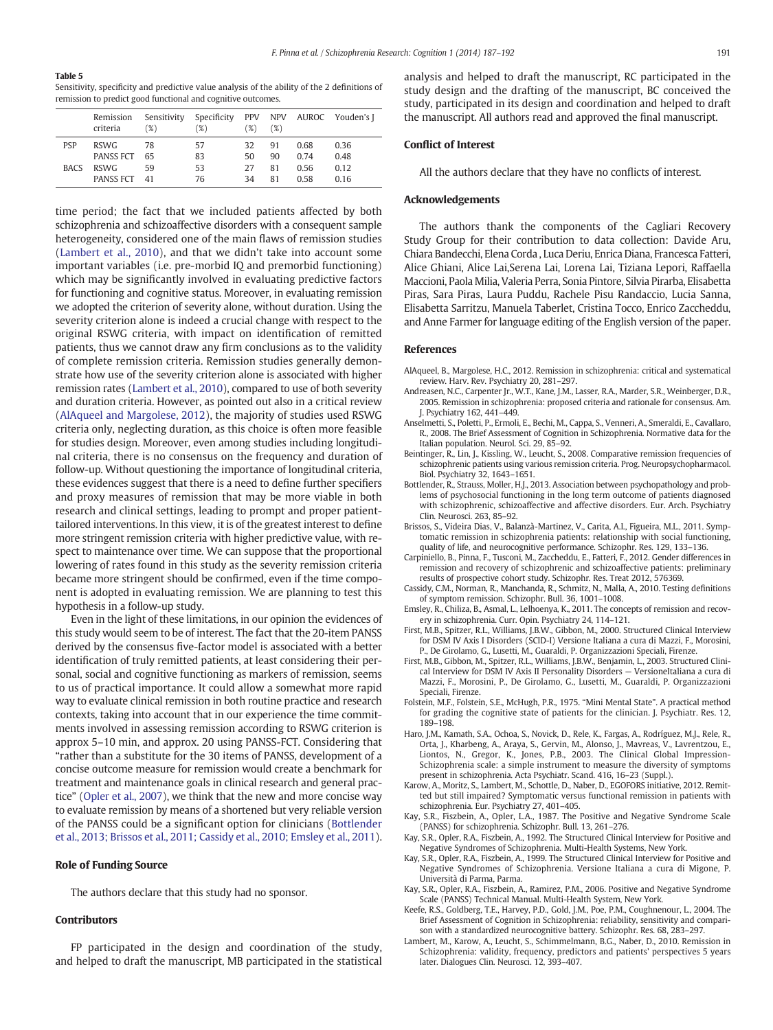#### <span id="page-4-0"></span>Table 5

Sensitivity, specificity and predictive value analysis of the ability of the 2 definitions of remission to predict good functional and cognitive outcomes.

|             | Remission<br>criteria | Sensitivity<br>(%) | Specificity<br>'%) | (%) | (%) |      | PPV NPV AUROC Youden's J |
|-------------|-----------------------|--------------------|--------------------|-----|-----|------|--------------------------|
| <b>PSP</b>  | <b>RSWG</b>           | 78                 | 57                 | 32  | 91  | 0.68 | 0.36                     |
|             | <b>PANSS FCT</b>      | 65                 | 83                 | 50  | 90  | 0.74 | 0.48                     |
| <b>BACS</b> | <b>RSWG</b>           | 59                 | 53                 | 27  | 81  | 0.56 | 0.12                     |
|             | <b>PANSS FCT</b>      | 41                 | 76                 | 34  | 81  | 0.58 | 0.16                     |

time period; the fact that we included patients affected by both schizophrenia and schizoaffective disorders with a consequent sample heterogeneity, considered one of the main flaws of remission studies (Lambert et al., 2010), and that we didn't take into account some important variables (i.e. pre-morbid IQ and premorbid functioning) which may be significantly involved in evaluating predictive factors for functioning and cognitive status. Moreover, in evaluating remission we adopted the criterion of severity alone, without duration. Using the severity criterion alone is indeed a crucial change with respect to the original RSWG criteria, with impact on identification of remitted patients, thus we cannot draw any firm conclusions as to the validity of complete remission criteria. Remission studies generally demonstrate how use of the severity criterion alone is associated with higher remission rates (Lambert et al., 2010), compared to use of both severity and duration criteria. However, as pointed out also in a critical review (AlAqueel and Margolese, 2012), the majority of studies used RSWG criteria only, neglecting duration, as this choice is often more feasible for studies design. Moreover, even among studies including longitudinal criteria, there is no consensus on the frequency and duration of follow-up. Without questioning the importance of longitudinal criteria, these evidences suggest that there is a need to define further specifiers and proxy measures of remission that may be more viable in both research and clinical settings, leading to prompt and proper patienttailored interventions. In this view, it is of the greatest interest to define more stringent remission criteria with higher predictive value, with respect to maintenance over time. We can suppose that the proportional lowering of rates found in this study as the severity remission criteria became more stringent should be confirmed, even if the time component is adopted in evaluating remission. We are planning to test this hypothesis in a follow-up study.

Even in the light of these limitations, in our opinion the evidences of this study would seem to be of interest. The fact that the 20-item PANSS derived by the consensus five-factor model is associated with a better identification of truly remitted patients, at least considering their personal, social and cognitive functioning as markers of remission, seems to us of practical importance. It could allow a somewhat more rapid way to evaluate clinical remission in both routine practice and research contexts, taking into account that in our experience the time commitments involved in assessing remission according to RSWG criterion is approx 5–10 min, and approx. 20 using PANSS-FCT. Considering that "rather than a substitute for the 30 items of PANSS, development of a concise outcome measure for remission would create a benchmark for treatment and maintenance goals in clinical research and general practice" [\(Opler et al., 2007\)](#page-5-0), we think that the new and more concise way to evaluate remission by means of a shortened but very reliable version of the PANSS could be a significant option for clinicians (Bottlender et al., 2013; Brissos et al., 2011; Cassidy et al., 2010; Emsley et al., 2011).

#### Role of Funding Source

The authors declare that this study had no sponsor.

#### Contributors

FP participated in the design and coordination of the study, and helped to draft the manuscript, MB participated in the statistical analysis and helped to draft the manuscript, RC participated in the study design and the drafting of the manuscript, BC conceived the study, participated in its design and coordination and helped to draft the manuscript. All authors read and approved the final manuscript.

#### Conflict of Interest

All the authors declare that they have no conflicts of interest.

#### Acknowledgements

The authors thank the components of the Cagliari Recovery Study Group for their contribution to data collection: Davide Aru, Chiara Bandecchi, Elena Corda , Luca Deriu, Enrica Diana, Francesca Fatteri, Alice Ghiani, Alice Lai,Serena Lai, Lorena Lai, Tiziana Lepori, Raffaella Maccioni, Paola Milia, Valeria Perra, Sonia Pintore, Silvia Pirarba, Elisabetta Piras, Sara Piras, Laura Puddu, Rachele Pisu Randaccio, Lucia Sanna, Elisabetta Sarritzu, Manuela Taberlet, Cristina Tocco, Enrico Zaccheddu, and Anne Farmer for language editing of the English version of the paper.

#### References

- AlAqueel, B., Margolese, H.C., 2012. [Remission in schizophrenia: critical and systematical](http://refhub.elsevier.com/S2215-0013(14)00027-4/rf0005) [review. Harv. Rev. Psychiatry 20, 281](http://refhub.elsevier.com/S2215-0013(14)00027-4/rf0005)–297.
- Andreasen, N.C., Carpenter Jr., W.T., Kane, J.M., Lasser, R.A., Marder, S.R., Weinberger, D.R., 2005. [Remission in schizophrenia: proposed criteria and rationale for consensus. Am.](http://refhub.elsevier.com/S2215-0013(14)00027-4/rf0010) [J. Psychiatry 162, 441](http://refhub.elsevier.com/S2215-0013(14)00027-4/rf0010)–449.
- Anselmetti, S., Poletti, P., Ermoli, E., Bechi, M., Cappa, S., Venneri, A., Smeraldi, E., Cavallaro, R., 2008. [The Brief Assessment of Cognition in Schizophrenia. Normative data for the](http://refhub.elsevier.com/S2215-0013(14)00027-4/rf0015) [Italian population. Neurol. Sci. 29, 85](http://refhub.elsevier.com/S2215-0013(14)00027-4/rf0015)–92.
- Beintinger, R., Lin, J., Kissling, W., Leucht, S., 2008. [Comparative remission frequencies of](http://refhub.elsevier.com/S2215-0013(14)00027-4/rf0020) [schizophrenic patients using various remission criteria. Prog. Neuropsychopharmacol.](http://refhub.elsevier.com/S2215-0013(14)00027-4/rf0020) [Biol. Psychiatry 32, 1643](http://refhub.elsevier.com/S2215-0013(14)00027-4/rf0020)–1651.
- Bottlender, R., Strauss, Moller, H.J., 2013. [Association between psychopathology and prob](http://refhub.elsevier.com/S2215-0013(14)00027-4/rf0150)[lems of psychosocial functioning in the long term outcome of patients diagnosed](http://refhub.elsevier.com/S2215-0013(14)00027-4/rf0150) [with schizophrenic, schizoaffective and affective disorders. Eur. Arch. Psychiatry](http://refhub.elsevier.com/S2215-0013(14)00027-4/rf0150) [Clin. Neurosci. 263, 85](http://refhub.elsevier.com/S2215-0013(14)00027-4/rf0150)–92.
- Brissos, S., Videira Dias, V., Balanzà-Martinez, V., Carita, A.I., Figueira, M.L., 2011. [Symp](http://refhub.elsevier.com/S2215-0013(14)00027-4/rf0025)[tomatic remission in schizophrenia patients: relationship with social functioning,](http://refhub.elsevier.com/S2215-0013(14)00027-4/rf0025) [quality of life, and neurocognitive performance. Schizophr. Res. 129, 133](http://refhub.elsevier.com/S2215-0013(14)00027-4/rf0025)–136.
- Carpiniello, B., Pinna, F., Tusconi, M., Zaccheddu, E., Fatteri, F., 2012. [Gender differences in](http://refhub.elsevier.com/S2215-0013(14)00027-4/rf0155) [remission and recovery of schizophrenic and schizoaffective patients: preliminary](http://refhub.elsevier.com/S2215-0013(14)00027-4/rf0155) [results of prospective cohort study. Schizophr. Res. Treat 2012, 576369](http://refhub.elsevier.com/S2215-0013(14)00027-4/rf0155).
- Cassidy, C.M., Norman, R., Manchanda, R., Schmitz, N., Malla, A., 2010. [Testing de](http://refhub.elsevier.com/S2215-0013(14)00027-4/rf0035)finitions [of symptom remission. Schizophr. Bull. 36, 1001](http://refhub.elsevier.com/S2215-0013(14)00027-4/rf0035)–1008.
- Emsley, R., Chiliza, B., Asmal, L., Lelhoenya, K., 2011. [The concepts of remission and recov](http://refhub.elsevier.com/S2215-0013(14)00027-4/rf0040)[ery in schizophrenia. Curr. Opin. Psychiatry 24, 114](http://refhub.elsevier.com/S2215-0013(14)00027-4/rf0040)–121.
- First, M.B., Spitzer, R.L., Williams, J.B.W., Gibbon, M., 2000. [Structured Clinical Interview](http://refhub.elsevier.com/S2215-0013(14)00027-4/rf0160) [for DSM IV Axis I Disorders \(SCID-I\) Versione Italiana a cura di Mazzi, F., Morosini,](http://refhub.elsevier.com/S2215-0013(14)00027-4/rf0160) [P., De Girolamo, G., Lusetti, M., Guaraldi, P. Organizzazioni Speciali, Firenze.](http://refhub.elsevier.com/S2215-0013(14)00027-4/rf0160)
- First, M.B., Gibbon, M., Spitzer, R.L., Williams, J.B.W., Benjamin, L., 2003. [Structured Clini](http://refhub.elsevier.com/S2215-0013(14)00027-4/rf0165)[cal Interview for DSM IV Axis II Personality Disorders](http://refhub.elsevier.com/S2215-0013(14)00027-4/rf0165) — VersioneItaliana a cura di [Mazzi, F., Morosini, P., De Girolamo, G., Lusetti, M., Guaraldi, P. Organizzazioni](http://refhub.elsevier.com/S2215-0013(14)00027-4/rf0165) [Speciali, Firenze](http://refhub.elsevier.com/S2215-0013(14)00027-4/rf0165).
- Folstein, M.F., Folstein, S.E., McHugh, P.R., 1975. "Mini Mental State"[. A practical method](http://refhub.elsevier.com/S2215-0013(14)00027-4/rf0045) [for grading the cognitive state of patients for the clinician. J. Psychiatr. Res. 12,](http://refhub.elsevier.com/S2215-0013(14)00027-4/rf0045) [189](http://refhub.elsevier.com/S2215-0013(14)00027-4/rf0045)–198.
- Haro, J.M., Kamath, S.A., Ochoa, S., Novick, D., Rele, K., Fargas, A., Rodríguez, M.J., Rele, R., Orta, J., Kharbeng, A., Araya, S., Gervin, M., Alonso, J., Mavreas, V., Lavrentzou, E., Liontos, N., Gregor, K., Jones, P.B., 2003. [The Clinical Global Impression-](http://refhub.elsevier.com/S2215-0013(14)00027-4/rf0055)[Schizophrenia scale: a simple instrument to measure the diversity of symptoms](http://refhub.elsevier.com/S2215-0013(14)00027-4/rf0055) [present in schizophrenia. Acta Psychiatr. Scand. 416, 16](http://refhub.elsevier.com/S2215-0013(14)00027-4/rf0055)–23 (Suppl.).
- Karow, A., Moritz, S., Lambert, M., Schottle, D., Naber, D., EGOFORS initiative, 2012. [Remit](http://refhub.elsevier.com/S2215-0013(14)00027-4/rf0170)[ted but still impaired? Symptomatic versus functional remission in patients with](http://refhub.elsevier.com/S2215-0013(14)00027-4/rf0170) [schizophrenia. Eur. Psychiatry 27, 401](http://refhub.elsevier.com/S2215-0013(14)00027-4/rf0170)–405.
- Kay, S.R., Fiszbein, A., Opler, L.A., 1987. [The Positive and Negative Syndrome Scale](http://refhub.elsevier.com/S2215-0013(14)00027-4/rf0065) [\(PANSS\) for schizophrenia. Schizophr. Bull. 13, 261](http://refhub.elsevier.com/S2215-0013(14)00027-4/rf0065)–276.
- Kay, S.R., Opler, R.A., Fiszbein, A., 1992. [The Structured Clinical Interview for Positive and](http://refhub.elsevier.com/S2215-0013(14)00027-4/rf0175) [Negative Syndromes of Schizophrenia. Multi-Health Systems, New York.](http://refhub.elsevier.com/S2215-0013(14)00027-4/rf0175)
- Kay, S.R., Opler, R.A., Fiszbein, A., 1999. [The Structured Clinical Interview for Positive and](http://refhub.elsevier.com/S2215-0013(14)00027-4/rf0180) [Negative Syndromes of Schizophrenia. Versione Italiana a cura di Migone, P.](http://refhub.elsevier.com/S2215-0013(14)00027-4/rf0180) [Università di Parma, Parma](http://refhub.elsevier.com/S2215-0013(14)00027-4/rf0180).
- Kay, S.R., Opler, R.A., Fiszbein, A., Ramirez, P.M., 2006. [Positive and Negative Syndrome](http://refhub.elsevier.com/S2215-0013(14)00027-4/rf0060) [Scale \(PANSS\) Technical Manual. Multi-Health System, New York](http://refhub.elsevier.com/S2215-0013(14)00027-4/rf0060).
- Keefe, R.S., Goldberg, T.E., Harvey, P.D., Gold, J.M., Poe, P.M., Coughnenour, L., 2004. [The](http://refhub.elsevier.com/S2215-0013(14)00027-4/rf0070) [Brief Assessment of Cognition in Schizophrenia: reliability, sensitivity and compari](http://refhub.elsevier.com/S2215-0013(14)00027-4/rf0070)[son with a standardized neurocognitive battery. Schizophr. Res. 68, 283](http://refhub.elsevier.com/S2215-0013(14)00027-4/rf0070)–297.
- Lambert, M., Karow, A., Leucht, S., Schimmelmann, B.G., Naber, D., 2010. [Remission in](http://refhub.elsevier.com/S2215-0013(14)00027-4/rf0075) [Schizophrenia: validity, frequency, predictors and patients](http://refhub.elsevier.com/S2215-0013(14)00027-4/rf0075)' perspectives 5 years [later. Dialogues Clin. Neurosci. 12, 393](http://refhub.elsevier.com/S2215-0013(14)00027-4/rf0075)–407.